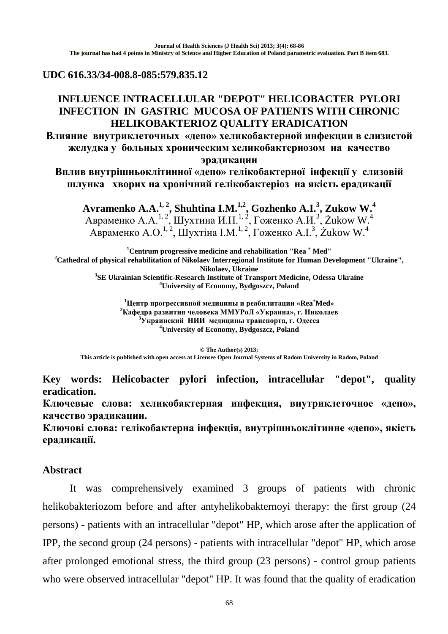## **UDC 616.33/34-008.8-085:579.835.12**

## **INFLUENCE INTRACELLULAR "DEPOT" HELICOBACTER PYLORI INFECTION IN GASTRIC MUCOSA OF PATIENTS WITH CHRONIC HELIKOBAKTERIOZ QUALITY ERADICATION**

**Влияние внутриклеточных «депо» хеликобактерной инфекции в слизистой желудка у больных хроническим хеликобактериозом на качество эрадикации**

**Вплив внутрішньоклітинної «депо» гелікобактерної інфекції у слизовій шлунка хворих на хронічний гелікобактеріоз на якість ерадикації**

**Avramenko A.A.1, 2, Shuhtina I.M.1,2, Gozhenko A.I. 3 , Zukow W. 4** Авраменко А.А.<sup>1, 2</sup>, Шухтина И.Н.<sup>1, 2</sup>, Гоженко А.И.<sup>3</sup>, Żukow W.<sup>4</sup> Авраменко А.О.<sup>1, 2</sup>, Шухтіна І.М.<sup>1, 2</sup>, Гоженко А.І.<sup>3</sup>, Žukow W.<sup>4</sup>

**1 Centrum progressive medicine and rehabilitation "Rea <sup>+</sup> Med" <sup>2</sup> Cathedral of physical rehabilitation of Nikolaev Interregional Institute for Human Development "Ukraine", Nikolaev, Ukraine** <sup>3</sup>SE Ukrainian Scientific-Research Institute of Transport Medicine, Odessa Ukraine **University of Economy, Bydgoszcz, Poland**

> **1 Центр прогрессивной медицины и реабилитации «Rea<sup>+</sup> Med» <sup>2</sup> Кафедра развития человека ММУРоЛ «Украина», г. Николаев 3 Украинский НИИ медицины транспорта, г. Одесса <sup>4</sup> University of Economy, Bydgoszcz, Poland**

**© The Author(s) 2013; This article is published with open access at Licensee Open Journal Systems of Radom University in Radom, Poland**

**Key words: Helicobacter pylori infection, intracellular "depot", quality eradication.**

**Ключевые слова: хеликобактерная инфекция, внутриклеточное «депо», качество эрадикации.**

**Ключові слова: гелікобактерна інфекція, внутрішньоклітинне «депо», якість ерадикації.**

## **Abstract**

It was comprehensively examined 3 groups of patients with chronic helikobakteriozom before and after antyhelikobakternoyi therapy: the first group (24 persons) - рatients with an intracellular "depot" HP, which arose after the application of IPP, the second group (24 persons) - рatients with intracellular "depot" HP, which arose after prolonged emotional stress, the third group (23 persons) - control group patients who were observed intracellular "depot" HP. It was found that the quality of eradication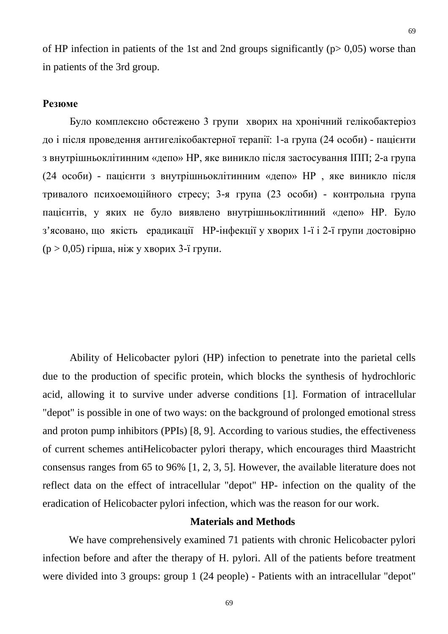of HP infection in patients of the 1st and 2nd groups significantly ( $p > 0.05$ ) worse than in patients of the 3rd group.

#### **Резюме**

Було комплексно обстежено 3 групи хворих на хронічний гелікобактеріоз до і після проведення антигелікобактерної терапії: 1-а група (24 особи) - пацієнти з внутрішньоклітинним «депо» НР, яке виникло після застосування ІПП; 2-а група (24 особи) - пацієнти з внутрішньоклітинним «депо» НР , яке виникло після тривалого психоемоційного стресу; 3-я група (23 особи) - контрольна група пацієнтів, у яких не було виявлено внутрішньоклітинний «депо» НР. Було з'ясовано, що якість ерадикації НР-інфекції у хворих 1-ї і 2-ї групи достовірно  $(p > 0.05)$  гірша, ніж у хворих 3-ї групи.

Ability of Helicobacter pylori (HP) infection to penetrate into the parietal cells due to the production of specific protein, which blocks the synthesis of hydrochloric acid, allowing it to survive under adverse conditions [1]. Formation of intracellular "depot" is possible in one of two ways: on the background of prolonged emotional stress and proton pump inhibitors (PPIs) [8, 9]. According to various studies, the effectiveness of current schemes antiHelicobacter pylori therapy, which encourages third Maastricht consensus ranges from 65 to 96% [1, 2, 3, 5]. However, the available literature does not reflect data on the effect of intracellular "depot" HP- infection on the quality of the eradication of Helicobacter pylori infection, which was the reason for our work.

#### **Materials and Methods**

 We have comprehensively examined 71 patients with chronic Helicobacter pylori infection before and after the therapy of H. pylori. All of the patients before treatment were divided into 3 groups: group 1 (24 people) - Patients with an intracellular "depot"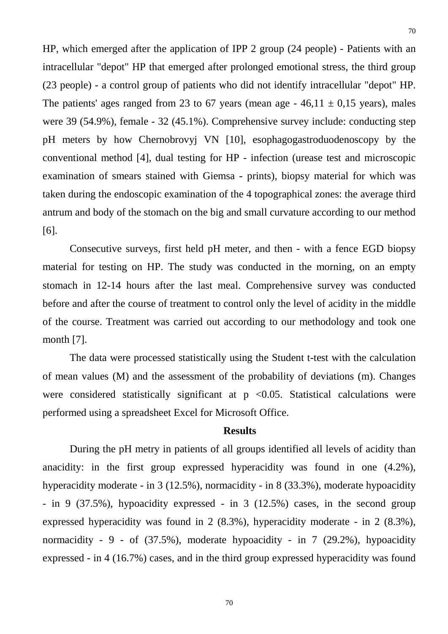HP, which emerged after the application of IPP 2 group (24 people) - Patients with an intracellular "depot" HP that emerged after prolonged emotional stress, the third group (23 people) - a control group of patients who did not identify intracellular "depot" HP. The patients' ages ranged from 23 to 67 years (mean age -  $46.11 \pm 0.15$  years), males were 39 (54.9%), female - 32 (45.1%). Comprehensive survey include: conducting step pH meters by how Chernobrovyj VN [10], esophagogastroduodenoscopy by the conventional method [4], dual testing for HP - infection (urease test and microscopic examination of smears stained with Giemsa - prints), biopsy material for which was taken during the endoscopic examination of the 4 topographical zones: the average third antrum and body of the stomach on the big and small curvature according to our method [6].

Consecutive surveys, first held pH meter, and then - with a fence EGD biopsy material for testing on HP. The study was conducted in the morning, on an empty stomach in 12-14 hours after the last meal. Comprehensive survey was conducted before and after the course of treatment to control only the level of acidity in the middle of the course. Treatment was carried out according to our methodology and took one month [7].

The data were processed statistically using the Student t-test with the calculation of mean values (M) and the assessment of the probability of deviations (m). Changes were considered statistically significant at  $p \le 0.05$ . Statistical calculations were performed using a spreadsheet Excel for Microsoft Office.

#### **Results**

During the pH metry in patients of all groups identified all levels of acidity than anacidity: in the first group expressed hyperacidity was found in one (4.2%), hyperacidity moderate - in 3 (12.5%), normacidity - in 8 (33.3%), moderate hypoacidity - in 9 (37.5%), hypoacidity expressed - in 3 (12.5%) cases, in the second group expressed hyperacidity was found in 2 (8.3%), hyperacidity moderate - in 2 (8.3%), normacidity - 9 - of (37.5%), moderate hypoacidity - in 7 (29.2%), hypoacidity expressed - in 4 (16.7%) cases, and in the third group expressed hyperacidity was found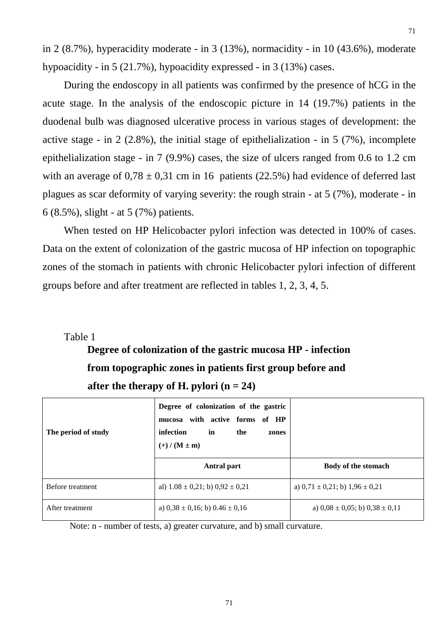in 2 (8.7%), hyperacidity moderate - in 3 (13%), normacidity - in 10 (43.6%), moderate hypoacidity - in 5 (21.7%), hypoacidity expressed - in 3 (13%) cases.

During the endoscopy in all patients was confirmed by the presence of hCG in the acute stage. In the analysis of the endoscopic picture in 14 (19.7%) patients in the duodenal bulb was diagnosed ulcerative process in various stages of development: the active stage - in 2 (2.8%), the initial stage of epithelialization - in 5 (7%), incomplete epithelialization stage - in 7 (9.9%) cases, the size of ulcers ranged from 0.6 to 1.2 cm with an average of  $0.78 \pm 0.31$  cm in 16 patients (22.5%) had evidence of deferred last plagues as scar deformity of varying severity: the rough strain - at 5 (7%), moderate - in 6 (8.5%), slight - at 5 (7%) patients.

When tested on HP Helicobacter pylori infection was detected in 100% of cases. Data on the extent of colonization of the gastric mucosa of HP infection on topographic zones of the stomach in patients with chronic Helicobacter pylori infection of different groups before and after treatment are reflected in tables 1, 2, 3, 4, 5.

Table 1

## **Degree of colonization of the gastric mucosa HP - infection from topographic zones in patients first group before and after the therapy of H. pylori**  $(n = 24)$

| The period of study | Degree of colonization of the gastric<br>mucosa with active forms of HP<br>infection<br>in<br>the<br>zones<br>$(+) / (M \pm m)$ |                                         |
|---------------------|---------------------------------------------------------------------------------------------------------------------------------|-----------------------------------------|
|                     | Antral part                                                                                                                     | Body of the stomach                     |
| Before treatment    | al) $1.08 \pm 0.21$ ; b) $0.92 \pm 0.21$                                                                                        | a) $0,71 \pm 0,21$ ; b) $1,96 \pm 0,21$ |
| After treatment     | a) $0,38 \pm 0,16$ ; b) $0.46 \pm 0,16$                                                                                         | a) $0.08 \pm 0.05$ ; b) $0.38 \pm 0.11$ |

Note: n - number of tests, a) greater curvature, and b) small curvature.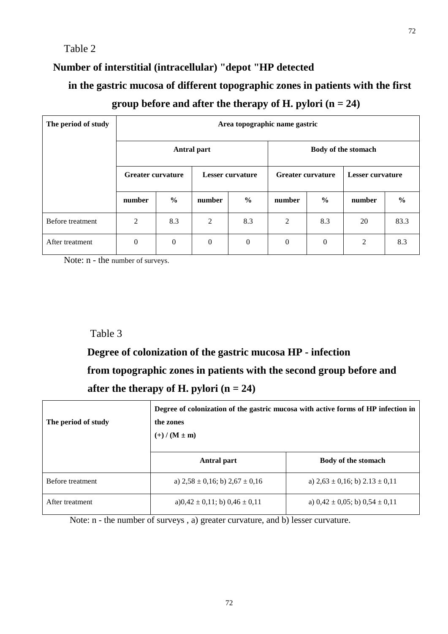## Table 2

## **Number of interstitial (intracellular) "depot "HP detected**

## **in the gastric mucosa of different topographic zones in patients with the first**

## **group before and after the therapy of H. pylori (n = 24)**

| The period of study |                          | Area topographic name gastric |                         |                     |                          |                  |                         |               |
|---------------------|--------------------------|-------------------------------|-------------------------|---------------------|--------------------------|------------------|-------------------------|---------------|
|                     | <b>Antral part</b>       |                               |                         | Body of the stomach |                          |                  |                         |               |
|                     | <b>Greater curvature</b> |                               | <b>Lesser curvature</b> |                     | <b>Greater curvature</b> |                  | <b>Lesser curvature</b> |               |
|                     | number                   | $\frac{6}{9}$                 | number                  | $\frac{6}{9}$       | number                   | $\frac{0}{0}$    | number                  | $\frac{0}{0}$ |
| Before treatment    | 2                        | 8.3                           | $\overline{2}$          | 8.3                 | 2                        | 8.3              | 20                      | 83.3          |
| After treatment     | $\boldsymbol{0}$         | $\boldsymbol{0}$              | $\boldsymbol{0}$        | $\theta$            | $\boldsymbol{0}$         | $\boldsymbol{0}$ | 2                       | 8.3           |

Note: n - the number of surveys.

## Table 3

 **Degree of colonization of the gastric mucosa HP - infection from topographic zones in patients with the second group before and after the therapy of H. pylori (n = 24)**

| The period of study | Degree of colonization of the gastric mucosa with active forms of HP infection in<br>the zones<br>$(+) / (M \pm m)$ |                                         |  |  |  |  |
|---------------------|---------------------------------------------------------------------------------------------------------------------|-----------------------------------------|--|--|--|--|
|                     | Antral part                                                                                                         | Body of the stomach                     |  |  |  |  |
| Before treatment    | a) $2.58 \pm 0.16$ ; b) $2.67 \pm 0.16$                                                                             | a) $2,63 \pm 0,16$ ; b) $2.13 \pm 0,11$ |  |  |  |  |
| After treatment     | a) $0,42 \pm 0,11$ ; b) $0,46 \pm 0,11$                                                                             | a) $0,42 \pm 0,05$ ; b) $0,54 \pm 0,11$ |  |  |  |  |

Note: n - the number of surveys , a) greater curvature, and b) lesser curvature.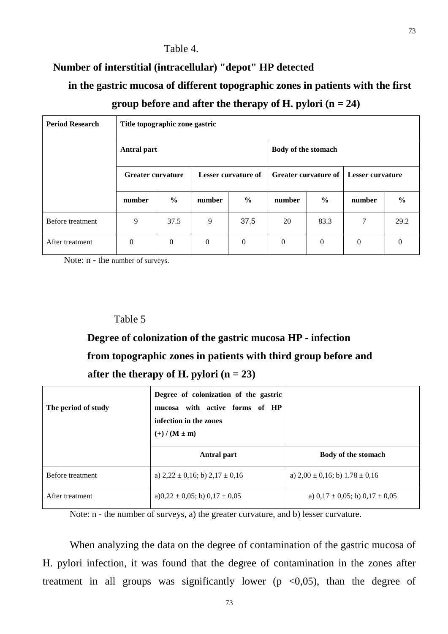## Table 4.

## **Number of interstitial (intracellular) "depot" HP detected**

## **in the gastric mucosa of different topographic zones in patients with the first group before and after the therapy of H. pylori (n = 24)**

| <b>Period Research</b> | Title topographic zone gastric                  |                |              |               |                             |                  |              |               |
|------------------------|-------------------------------------------------|----------------|--------------|---------------|-----------------------------|------------------|--------------|---------------|
|                        | <b>Antral part</b>                              |                |              |               | Body of the stomach         |                  |              |               |
|                        | <b>Greater curvature</b><br>Lesser curvature of |                |              |               | <b>Greater curvature of</b> | Lesser curvature |              |               |
|                        | number                                          | $\frac{0}{0}$  | number       | $\frac{0}{0}$ | number                      | $\frac{0}{0}$    | number       | $\frac{0}{0}$ |
| Before treatment       | 9                                               | 37.5           | 9            | 37,5          | 20                          | 83.3             | 7            | 29.2          |
| After treatment        | $\theta$                                        | $\overline{0}$ | $\mathbf{0}$ | $\mathbf{0}$  | $\theta$                    | $\mathbf{0}$     | $\mathbf{0}$ | $\theta$      |

Note: n - the number of surveys.

#### Table 5

# **Degree of colonization of the gastric mucosa HP - infection from topographic zones in patients with third group before and** after the therapy of H. pylori  $(n = 23)$

| The period of study | Degree of colonization of the gastric<br>mucosa with active forms of HP<br>infection in the zones<br>$(+) / (M \pm m)$ |                                         |
|---------------------|------------------------------------------------------------------------------------------------------------------------|-----------------------------------------|
|                     | Antral part                                                                                                            | Body of the stomach                     |
| Before treatment    | a) $2,22 \pm 0,16$ ; b) $2,17 \pm 0,16$                                                                                | a) $2,00 \pm 0,16$ ; b) $1.78 \pm 0,16$ |
| After treatment     | a) $0,22 \pm 0,05$ ; b) $0,17 \pm 0,05$                                                                                | a) $0,17 \pm 0,05$ ; b) $0,17 \pm 0,05$ |

Note: n - the number of surveys, a) the greater curvature, and b) lesser curvature.

When analyzing the data on the degree of contamination of the gastric mucosa of H. pylori infection, it was found that the degree of contamination in the zones after treatment in all groups was significantly lower ( $p \le 0.05$ ), than the degree of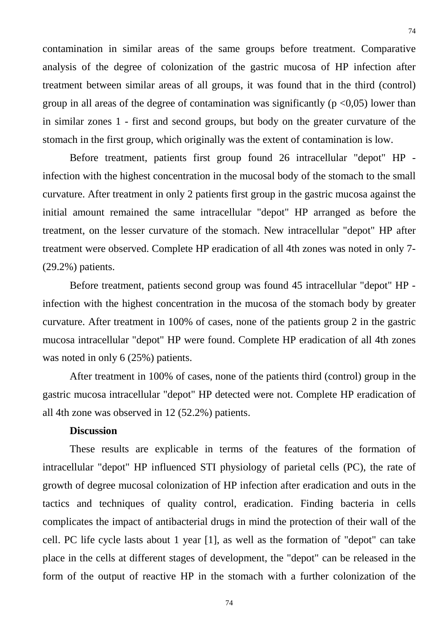contamination in similar areas of the same groups before treatment. Comparative analysis of the degree of colonization of the gastric mucosa of HP infection after treatment between similar areas of all groups, it was found that in the third (control) group in all areas of the degree of contamination was significantly ( $p \le 0.05$ ) lower than in similar zones 1 - first and second groups, but body on the greater curvature of the stomach in the first group, which originally was the extent of contamination is low.

Before treatment, patients first group found 26 intracellular "depot" HP infection with the highest concentration in the mucosal body of the stomach to the small curvature. After treatment in only 2 patients first group in the gastric mucosa against the initial amount remained the same intracellular "depot" HP arranged as before the treatment, on the lesser curvature of the stomach. New intracellular "depot" HP after treatment were observed. Complete HP eradication of all 4th zones was noted in only 7- (29.2%) patients.

Before treatment, patients second group was found 45 intracellular "depot" HP infection with the highest concentration in the mucosa of the stomach body by greater curvature. After treatment in 100% of cases, none of the patients group 2 in the gastric mucosa intracellular "depot" HP were found. Complete HP eradication of all 4th zones was noted in only 6 (25%) patients.

After treatment in 100% of cases, none of the patients third (control) group in the gastric mucosa intracellular "depot" HP detected were not. Complete HP eradication of all 4th zone was observed in 12 (52.2%) patients.

#### **Discussion**

These results are explicable in terms of the features of the formation of intracellular "depot" HP influenced STI physiology of parietal cells (PC), the rate of growth of degree mucosal colonization of HP infection after eradication and outs in the tactics and techniques of quality control, eradication. Finding bacteria in cells complicates the impact of antibacterial drugs in mind the protection of their wall of the cell. PC life cycle lasts about 1 year [1], as well as the formation of "depot" can take place in the cells at different stages of development, the "depot" can be released in the form of the output of reactive HP in the stomach with a further colonization of the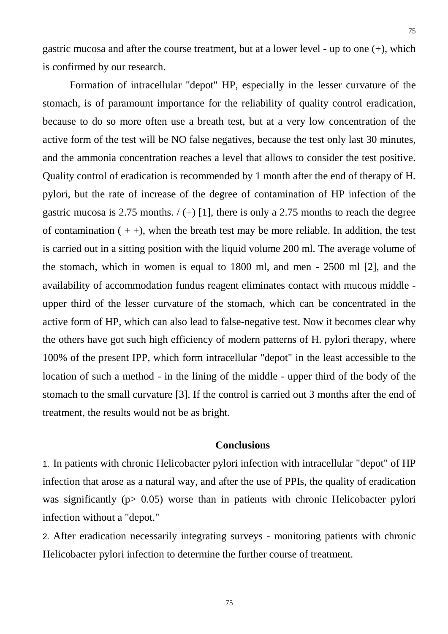gastric mucosa and after the course treatment, but at a lower level - up to one (+), which is confirmed by our research.

Formation of intracellular "depot" HP, especially in the lesser curvature of the stomach, is of paramount importance for the reliability of quality control eradication, because to do so more often use a breath test, but at a very low concentration of the active form of the test will be NO false negatives, because the test only last 30 minutes, and the ammonia concentration reaches a level that allows to consider the test positive. Quality control of eradication is recommended by 1 month after the end of therapy of H. pylori, but the rate of increase of the degree of contamination of HP infection of the gastric mucosa is 2.75 months.  $/(+)$  [1], there is only a 2.75 months to reach the degree of contamination  $( + +)$ , when the breath test may be more reliable. In addition, the test is carried out in a sitting position with the liquid volume 200 ml. The average volume of the stomach, which in women is equal to 1800 ml, and men - 2500 ml [2], and the availability of accommodation fundus reagent eliminates contact with mucous middle upper third of the lesser curvature of the stomach, which can be concentrated in the active form of HP, which can also lead to false-negative test. Now it becomes clear why the others have got such high efficiency of modern patterns of H. pylori therapy, where 100% of the present IPP, which form intracellular "depot" in the least accessible to the location of such a method - in the lining of the middle - upper third of the body of the stomach to the small curvature [3]. If the control is carried out 3 months after the end of treatment, the results would not be as bright.

### **Conclusions**

1. In patients with chronic Helicobacter pylori infection with intracellular "depot" of HP infection that arose as a natural way, and after the use of PPIs, the quality of eradication was significantly (p ighta) worse than in patients with chronic Helicobacter pylori infection without a "depot."

2. After eradication necessarily integrating surveys - monitoring patients with chronic Helicobacter pylori infection to determine the further course of treatment.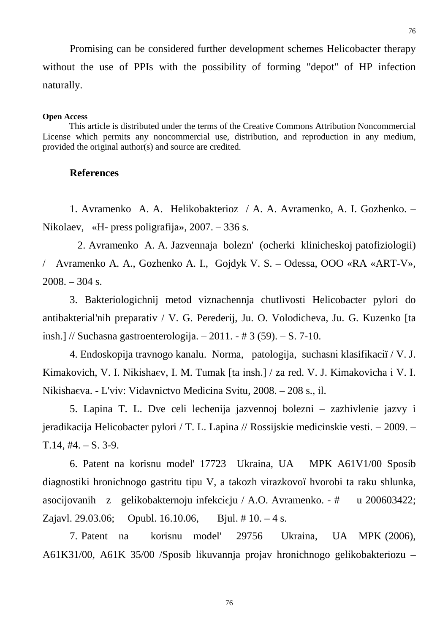76

Promising can be considered further development schemes Helicobacter therapy without the use of PPIs with the possibility of forming "depot" of HP infection naturally.

#### **Open Access**

This article is distributed under the terms of the Creative Commons Attribution Noncommercial License which permits any noncommercial use, distribution, and reproduction in any medium, provided the original author(s) and source are credited.

#### **References**

1. Avramenko A. A. Helikobakterioz / A. A. Avramenko, A. I. Gozhenko. – Nikolaev, «H- press poligrafija», 2007. – 336 s.

 2. Avramenko A. A. Jazvennaja bolezn' (ocherki klinicheskoj patofiziologii) / Avramenko A. A., Gozhenko A. I., Gojdyk V. S. – Odessa, OOO «RA «ART-V», 2008. – 304 s.

3. Bakterіologіchnij metod viznachennja chutlivostі Helicobacter pylori do antibakterіal'nih preparatіv / V. G. Perederіj, Ju. O. Volodіcheva, Ju. G. Kuzenko [ta іnsh.] // Suchasna gastroenterologіja. – 2011. - # 3 (59). – S. 7-10.

4. Endoskopіja travnogo kanalu. Norma, patologіja, suchasnі klasifіkacії / V. J. Kіmakovich, V. І. Nіkіshaєv, І. M. Tumak [ta іnsh.] / za red. V. J. Kіmakovicha і V. І. Nіkіshaєva. - L'vіv: Vidavnictvo Medicina Svіtu, 2008. – 208 s., іl.

5. Lapina T. L. Dve celi lechenija jazvennoj bolezni – zazhivlenie jazvy i jeradikacija Helicobacter pylori / T. L. Lapina // Rossijskie medicinskie vesti. – 2009. –  $T.14, #4. - S. 3-9.$ 

6. Patent na korisnu model' 17723 Ukraina, UA MPK A61V1/00 Sposіb dіagnostiki hronіchnogo gastritu tipu V, a takozh virazkovoї hvorobi ta raku shlunka, asocіjovanih z gelіkobakternoju іnfekcієju / A.O. Avramenko. - # u 200603422; Zajavl. 29.03.06; Opubl. 16.10.06, Bjul. # 10. – 4 s.

7. Patent na korisnu model' 29756 Ukraina, UA MPK (2006), A61K31/00, A61K 35/00 /Sposіb lіkuvannja projav hronіchnogo gelіkobakterіozu –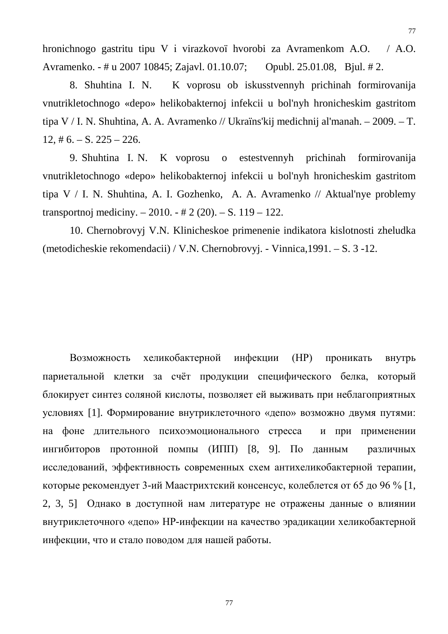hronichnogo gastritu tipu V i virazkovoï hvorobi za Avramenkom A.O. / A.O. Avramenko. - # u 2007 10845; Zajavl. 01.10.07; Opubl. 25.01.08, Bjul. # 2.

8. Shuhtina I. N. K voprosu ob iskusstvennyh prichinah formirovanija vnutrikletochnogo «depo» helikobakternoj infekcii u bol'nyh hronicheskim gastritom tipa V / I. N. Shuhtina, A. A. Avramenko // Ukraїns'kij medichnij al'manah. – 2009. – T.  $12, \text{# } 6. - S. 225 - 226.$ 

9. Shuhtina I. N. K voprosu o estestvennyh prichinah formirovanija vnutrikletochnogo «depo» helikobakternoj infekcii u bol'nyh hronicheskim gastritom tipa V / I. N. Shuhtina, A. I. Gozhenko, A. A. Avramenko // Aktual'nye problemy transportnoj mediciny. – 2010. - # 2 (20). – S. 119 – 122.

10. Chernobrovyj V.N. Klinicheskoe primenenie indikatora kislotnosti zheludka (metodicheskie rekomendacii) / V.N. Chernobrovyj. - Vinnica,1991. – S. 3 -12.

Возможность хеликобактерной инфекции (НР) проникать внутрь париетальной клетки за счёт продукции специфического белка, который блокирует синтез соляной кислоты, позволяет ей выживать при неблагоприятных условиях [1]. Формирование внутриклеточного «депо» возможно двумя путями: на фоне длительного психоэмоционального стресса и при применении ингибиторов протонной помпы (ИПП) [8, 9]. По данным различных исследований, эффективность современных схем антихеликобактерной терапии, которые рекомендует 3-ий Маастрихтский консенсус, колеблется от 65 до 96 % [1, 2, 3, 5] Однако в доступной нам литературе не отражены данные о влиянии внутриклеточного «депо» НР-инфекции на качество эрадикации хеликобактерной инфекции, что и стало поводом для нашей работы.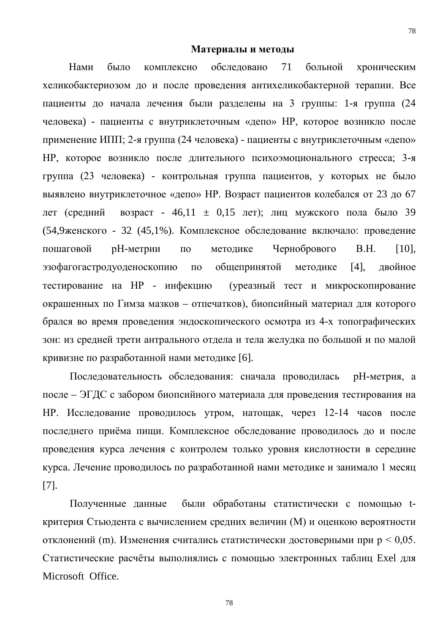#### **Материалы и методы**

 Нами было комплексно обследовано 71 больной хроническим хеликобактериозом до и после проведения антихеликобактерной терапии. Все пациенты до начала лечения были разделены на 3 группы: 1-я группа (24 человека) - пациенты с внутриклеточным «депо» НР, которое возникло после применение ИПП; 2-я группа (24 человека) - пациенты с внутриклеточным «депо» НР, которое возникло после длительного психоэмоционального стресса; 3-я группа (23 человека) - контрольная группа пациентов, у которых не было выявлено внутриклеточное «депо» НР. Возраст пациентов колебался от 23 до 67 лет (средний возраст - 46,11  $\pm$  0,15 лет); лиц мужского пола было 39 (54,9женского - 32 (45,1%). Комплексное обследование включало: проведение пошаговой рН-метрии по методике Чернобрового В.Н. [10], эзофагогастродуоденоскопию по общепринятой методике [4], двойное тестирование на НР - инфекцию (уреазный тест и микроскопирование окрашенных по Гимза мазков – отпечатков), биопсийный материал для которого брался во время проведения эндоскопического осмотра из 4-х топографических зон: из средней трети антрального отдела и тела желудка по большой и по малой кривизне по разработанной нами методике [6].

Последовательность обследования: сначала проводилась рН-метрия, а после – ЭГДС с забором биопсийного материала для проведения тестирования на НР. Исследование проводилось утром, натощак, через 12-14 часов после последнего приёма пищи. Комплексное обследование проводилось до и после проведения курса лечения с контролем только уровня кислотности в середине курса. Лечение проводилось по разработанной нами методике и занимало 1 месяц [7].

Полученные данные были обработаны статистически с помощью tкритерия Стьюдента с вычислением средних величин (М) и оценкою вероятности отклонений (m). Изменения считались статистически достоверными при р < 0,05. Статистические расчёты выполнялись с помощью электронных таблиц Exel для Microsoft Office.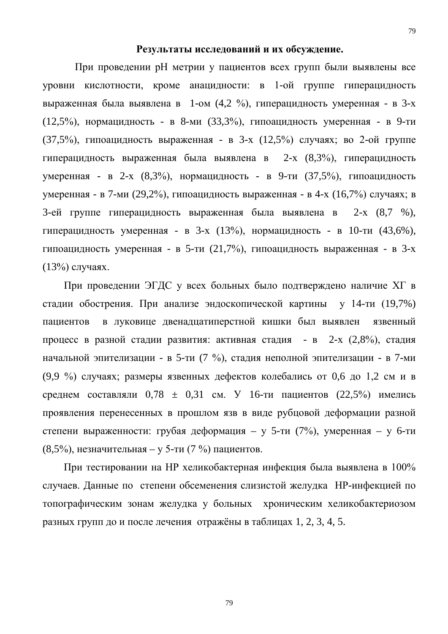#### **Результаты исследований и их обсуждение.**

 При проведении рН метрии у пациентов всех групп были выявлены все уровни кислотности, кроме анацидности: в 1-ой группе гиперацидность выраженная была выявлена в 1-ом (4,2 %), гиперацидность умеренная - в 3-х (12,5%), нормацидность - в 8-ми (33,3%), гипоацидность умеренная - в 9-ти (37,5%), гипоацидность выраженная - в 3-х (12,5%) случаях; во 2-ой группе гиперацидность выраженная была выявлена в 2-х (8,3%), гиперацидность умеренная - в 2-х (8,3%), нормацидность - в 9-ти (37,5%), гипоацидность умеренная - в 7-ми (29,2%), гипоацидность выраженная - в 4-х (16,7%) случаях; в 3-ей группе гиперацидность выраженная была выявлена в 2-х (8,7 %), гиперацидность умеренная - в 3-х (13%), нормацидность - в 10-ти (43,6%), гипоацидность умеренная - в 5-ти (21,7%), гипоацидность выраженная - в 3-х (13%) случаях.

При проведении ЭГДС у всех больных было подтверждено наличие ХГ в стадии обострения. При анализе эндоскопической картины у 14-ти (19,7%) пациентов в луковице двенадцатиперстной кишки был выявлен язвенный процесс в разной стадии развития: активная стадия - в 2-х (2,8%), стадия начальной эпителизации - в 5-ти (7 %), стадия неполной эпителизации - в 7-ми (9,9 %) случаях; размеры язвенных дефектов колебались от 0,6 до 1,2 см и в среднем составляли  $0.78 \pm 0.31$  см. У 16-ти пациентов (22,5%) имелись проявления перенесенных в прошлом язв в виде рубцовой деформации разной степени выраженности: грубая деформация – у 5-ти (7%), умеренная – у 6-ти (8,5%), незначительная – у 5-ти (7 %) пациентов.

При тестировании на НР хеликобактерная инфекция была выявлена в 100% случаев. Данные по степени обсеменения слизистой желудка НР-инфекцией по топографическим зонам желудка у больных хроническим хеликобактериозом разных групп до и после лечения отражёны в таблицах 1, 2, 3, 4, 5.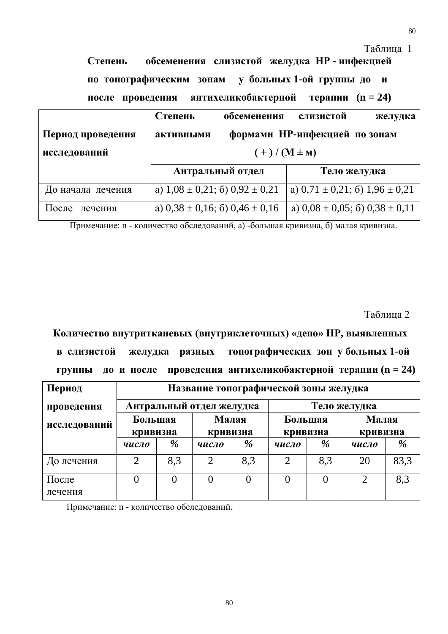Таблица 1

 **Степень обсеменения слизистой желудка НР - инфекцией по топографическим зонам у больных 1-ой группы до и после проведения антихеликобактерной терапии (n = 24)**

|                   | Степень                                 | обсеменения     | слизистой                               | желудка |
|-------------------|-----------------------------------------|-----------------|-----------------------------------------|---------|
| Период проведения | активными                               |                 | формами НР-инфекцией по зонам           |         |
| исследований      |                                         | $(+)/(M \pm M)$ |                                         |         |
|                   | Антральный отдел                        |                 | Тело желудка                            |         |
| До начала лечения | a) $1,08 \pm 0,21$ ; 6) $0,92 \pm 0,21$ |                 | a) $0,71 \pm 0,21$ ; 6) $1,96 \pm 0,21$ |         |
| После<br>лечения  | a) $0,38 \pm 0,16$ ; 6) $0,46 \pm 0,16$ |                 | a) $0.08 \pm 0.05$ ; 6) $0.38 \pm 0.11$ |         |

Примечание: n - количество обследований, а) -большая кривизна, б) малая кривизна.

Таблица 2

 **Количество внутритканевых (внутриклеточных) «депо» НР, выявленных в слизистой желудка разных топографических зон у больных 1-ой группы до и после проведения антихеликобактерной терапии (n = 24)**

| Период           |                          | Название топографической зоны желудка |                   |          |                     |          |                |                   |  |
|------------------|--------------------------|---------------------------------------|-------------------|----------|---------------------|----------|----------------|-------------------|--|
| проведения       | Антральный отдел желудка |                                       |                   |          | Тело желудка        |          |                |                   |  |
| исследований     | Большая<br>кривизна      |                                       | Малая<br>кривизна |          | Большая<br>кривизна |          |                | Малая<br>кривизна |  |
|                  | число                    | %                                     | число             | %        | число               | %        | число          | $\%$              |  |
| До лечения       | $\overline{2}$           | 8,3                                   | ⌒                 | 8,3      | $\overline{2}$      | 8,3      | 20             | 83,3              |  |
| После<br>лечения | 0                        | $\overline{0}$                        | $\theta$          | $\theta$ | $\theta$            | $\theta$ | $\overline{2}$ | 8,3               |  |

Примечание: n - количество обследований.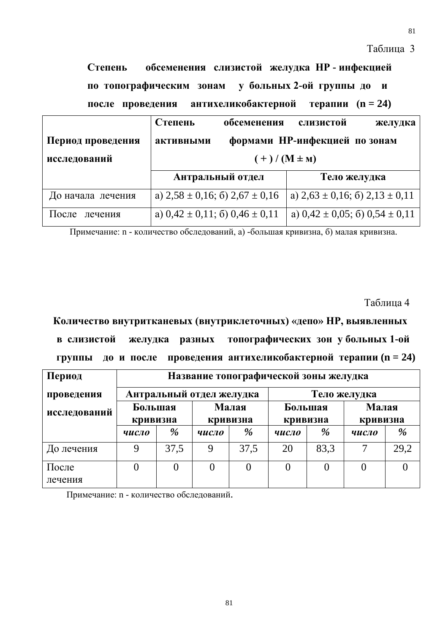Таблица 3

 **Степень обсеменения слизистой желудка НР - инфекцией по топографическим зонам у больных 2-ой группы до и после проведения антихеликобактерной терапии (n = 24)**

|                   | Степень          | обсеменения                             | слизистой                               | желудка |
|-------------------|------------------|-----------------------------------------|-----------------------------------------|---------|
| Период проведения | активными        |                                         | формами НР-инфекцией по зонам           |         |
| исследований      |                  | $(+)/(M \pm M)$                         |                                         |         |
|                   | Антральный отдел |                                         | Тело желудка                            |         |
|                   |                  |                                         |                                         |         |
| До начала лечения |                  | a) $2,58 \pm 0,16$ ; 6) $2,67 \pm 0,16$ | a) $2,63 \pm 0,16$ ; 6) $2,13 \pm 0,11$ |         |

Примечание: n - количество обследований, а) -большая кривизна, б) малая кривизна.

Таблица 4

 **Количество внутритканевых (внутриклеточных) «депо» НР, выявленных в слизистой желудка разных топографических зон у больных 1-ой группы** до **и** после проведения антихеликобактерной терапии  $(n = 24)$ 

| Период           |                          | Название топографической зоны желудка |                   |                |                     |                |                   |      |
|------------------|--------------------------|---------------------------------------|-------------------|----------------|---------------------|----------------|-------------------|------|
| проведения       | Антральный отдел желудка |                                       |                   |                | Тело желудка        |                |                   |      |
| исследований     | Большая<br>кривизна      |                                       | Малая<br>кривизна |                | Большая<br>кривизна |                | Малая<br>кривизна |      |
|                  | число                    | %                                     | число             | %              | число               | %              | число             | %    |
| До лечения       | 9                        | 37,5                                  | Q                 | 37,5           | 20                  | 83,3           |                   | 29,2 |
| После<br>лечения | 0                        | 0                                     | 0                 | $\overline{0}$ |                     | $\overline{0}$ |                   |      |

Примечание: n - количество обследований.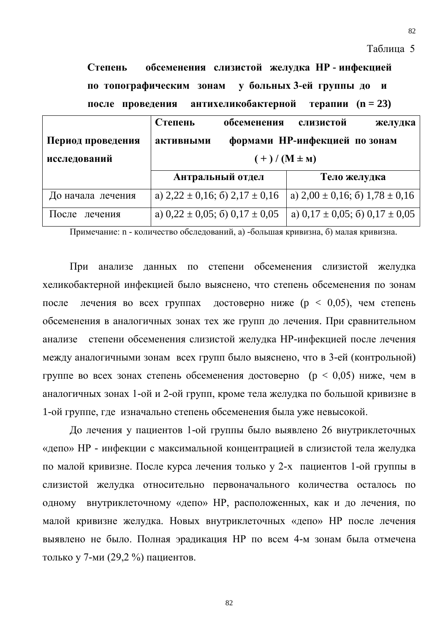Таблица 5

 **Степень обсеменения слизистой желудка НР - инфекцией по топографическим зонам у больных 3-ей группы до и после проведения антихеликобактерной терапии (n = 23)**

|                   | Степень                                 | обсеменения      | слизистой                               | желудка                                 |
|-------------------|-----------------------------------------|------------------|-----------------------------------------|-----------------------------------------|
| Период проведения | активными                               |                  | формами НР-инфекцией по зонам           |                                         |
| исследований      |                                         | $(+)/ (M \pm M)$ |                                         |                                         |
|                   | Антральный отдел                        |                  | Тело желудка                            |                                         |
| До начала лечения | a) $2,22 \pm 0,16$ ; 6) $2,17 \pm 0,16$ |                  | a) $2,00 \pm 0,16$ ; 6) $1,78 \pm 0,16$ |                                         |
|                   |                                         |                  |                                         | a) $0,17 \pm 0,05$ ; 6) $0,17 \pm 0,05$ |

Примечание: n - количество обследований, а) -большая кривизна, б) малая кривизна.

При анализе данных по степени обсеменения слизистой желудка хеликобактерной инфекцией было выяснено, что степень обсеменения по зонам после лечения во всех группах достоверно ниже (p < 0,05), чем степень обсеменения в аналогичных зонах тех же групп до лечения. При сравнительном анализе степени обсеменения слизистой желудка НР-инфекцией после лечения между аналогичными зонам всех групп было выяснено, что в 3-ей (контрольной) группе во всех зонах степень обсеменения достоверно (p < 0,05) ниже, чем в аналогичных зонах 1-ой и 2-ой групп, кроме тела желудка по большой кривизне в 1-ой группе, где изначально степень обсеменения была уже невысокой.

До лечения у пациентов 1-ой группы было выявлено 26 внутриклеточных «депо» НР - инфекции с максимальной концентрацией в слизистой тела желудка по малой кривизне. После курса лечения только у 2-х пациентов 1-ой группы в слизистой желудка относительно первоначального количества осталось по одному внутриклеточному «депо» НР, расположенных, как и до лечения, по малой кривизне желудка. Новых внутриклеточных «депо» НР после лечения выявлено не было. Полная эрадикация НР по всем 4-м зонам была отмечена только у 7-ми (29,2 %) пациентов.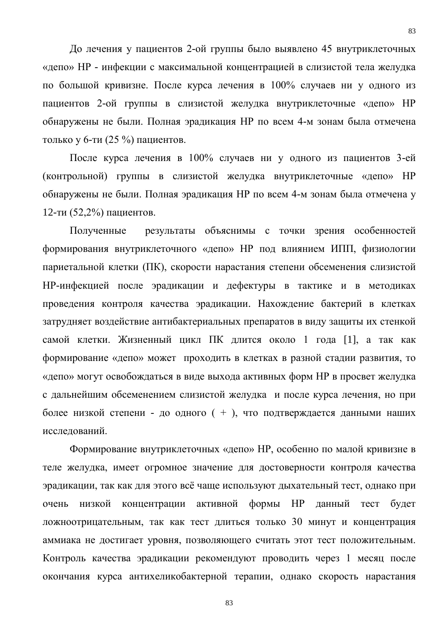До лечения у пациентов 2-ой группы было выявлено 45 внутриклеточных «депо» НР - инфекции с максимальной концентрацией в слизистой тела желудка по большой кривизне. После курса лечения в 100% случаев ни у одного из пациентов 2-ой группы в слизистой желудка внутриклеточные «депо» НР обнаружены не были. Полная эрадикация НР по всем 4-м зонам была отмечена только у 6-ти (25 %) пациентов.

После курса лечения в 100% случаев ни у одного из пациентов 3-ей (контрольной) группы в слизистой желудка внутриклеточные «депо» НР обнаружены не были. Полная эрадикация НР по всем 4-м зонам была отмечена у 12-ти (52,2%) пациентов.

Полученные результаты объяснимы с точки зрения особенностей формирования внутриклеточного «депо» НР под влиянием ИПП, физиологии париетальной клетки (ПК), скорости нарастания степени обсеменения слизистой НР-инфекцией после эрадикации и дефектуры в тактике и в методиках проведения контроля качества эрадикации. Нахождение бактерий в клетках затрудняет воздействие антибактериальных препаратов в виду защиты их стенкой самой клетки. Жизненный цикл ПК длится около 1 года [1], а так как формирование «депо» может проходить в клетках в разной стадии развития, то «депо» могут освобождаться в виде выхода активных форм НР в просвет желудка с дальнейшим обсеменением слизистой желудка и после курса лечения, но при более низкой степени - до одного ( + ), что подтверждается данными наших исследований.

Формирование внутриклеточных «депо» НР, особенно по малой кривизне в теле желудка, имеет огромное значение для достоверности контроля качества эрадикации, так как для этого всё чаще используют дыхательный тест, однако при очень низкой концентрации активной формы НР данный тест будет ложноотрицательным, так как тест длиться только 30 минут и концентрация аммиака не достигает уровня, позволяющего считать этот тест положительным. Контроль качества эрадикации рекомендуют проводить через 1 месяц после окончания курса антихеликобактерной терапии, однако скорость нарастания

83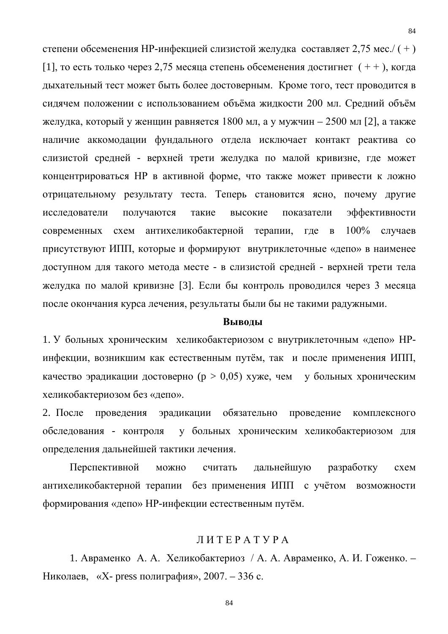степени обсеменения НР-инфекцией слизистой желудка составляет 2,75 мес./ ( + ) [1], то есть только через 2,75 месяца степень обсеменения достигнет  $( + )$ , когда дыхательный тест может быть более достоверным. Кроме того, тест проводится в сидячем положении с использованием объёма жидкости 200 мл. Средний объём желудка, который у женщин равняется 1800 мл, а у мужчин – 2500 мл [2], а также наличие аккомодации фундального отдела исключает контакт реактива со слизистой средней - верхней трети желудка по малой кривизне, где может концентрироваться НР в активной форме, что также может привести к ложно отрицательному результату теста. Теперь становится ясно, почему другие исследователи получаются такие высокие показатели эффективности современных схем антихеликобактерной терапии, где в 100% случаев присутствуют ИПП, которые и формируют внутриклеточные «депо» в наименее доступном для такого метода месте - в слизистой средней - верхней трети тела желудка по малой кривизне [3]. Если бы контроль проводился через 3 месяца после окончания курса лечения, результаты были бы не такими радужными.

#### **Выводы**

1. У больных хроническим хеликобактериозом с внутриклеточным «депо» НРинфекции, возникшим как естественным путём, так и после применения ИПП, качество эрадикации достоверно ( $p > 0.05$ ) хуже, чем у больных хроническим хеликобактериозом без «депо».

2. После проведения эрадикации обязательно проведение комплексного обследования - контроля у больных хроническим хеликобактериозом для определения дальнейшей тактики лечения.

Перспективной можно считать дальнейшую разработку схем антихеликобактерной терапии без применения ИПП с учётом возможности формирования «депо» НР-инфекции естественным путём.

#### Л И Т Е Р А Т У Р А

1. Авраменко А. А. Хеликобактериоз / А. А. Авраменко, А. И. Гоженко. – Николаев, «X- press полиграфия»,  $2007 - 336$  с.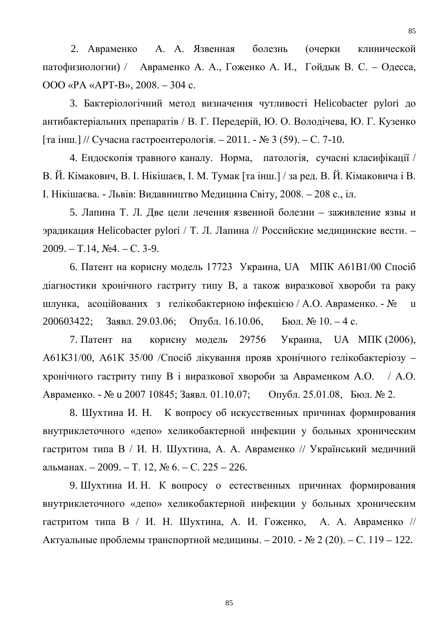2. Авраменко А. А. Язвенная болезнь (очерки клинической патофизиологии) / Авраменко А. А., Гоженко А. И., Гойдык В. С. – Одесса, ООО «РА «АРТ-В», 2008. – 304 с.

3. Бактеріологічний метод визначення чутливості Helicobacter pylori до антибактеріальних препаратів / В. Г. Передерій, Ю. О. Володічева, Ю. Г. Кузенко [та інш.] // Сучасна гастроентерологія. – 2011. - № 3 (59). – С. 7-10.

4. Ендоскопія травного каналу. Норма, патологія, сучасні класифікації / В. Й. Кімакович, В. І. Нікішаєв, І. М. Тумак [та інш.] / за ред. В. Й. Кімаковича і В. І. Нікішаєва. - Львів: Видавництво Медицина Світу, 2008. – 208 с., іл.

5. Лапина Т. Л. Две цели лечения язвенной болезни – заживление язвы и эрадикация Helicobacter pylori / Т. Л. Лапина // Российские медицинские вести. – 2009. – Т.14, №4. – С. 3-9.

6. Патент на корисну модель 17723 Украина, UA МПК А61В1/00 Спосіб діагностики хронічного гастриту типу В, а також виразкової хвороби та раку шлунка, асоційованих з гелікобактерною інфекцією / А.О. Авраменко. - № u 200603422; Заявл. 29.03.06; Опубл. 16.10.06, Бюл. № 10. – 4 с.

7. Патент на корисну модель 29756 Украина, UA МПК (2006), А61К31/00, А61К 35/00 /Спосіб лікування прояв хронічного гелікобактеріозу – хронічного гастриту типу В і виразкової хвороби за Авраменком А.О. / А.О. Авраменко. - № u 2007 10845; Заявл. 01.10.07; Опубл. 25.01.08, Бюл. № 2.

8. Шухтина И. Н. К вопросу об искусственных причинах формирования внутриклеточного «депо» хеликобактерной инфекции у больных хроническим гастритом типа В / И. Н. Шухтина, А. А. Авраменко // Український медичний альманах. – 2009. – Т. 12, № 6. – С. 225 – 226.

9. Шухтина И. Н. К вопросу о естественных причинах формирования внутриклеточного «депо» хеликобактерной инфекции у больных хроническим гастритом типа В / И. Н. Шухтина, А. И. Гоженко, А. А. Авраменко // Актуальные проблемы транспортной медицины. – 2010. - № 2 (20). – С. 119 – 122.